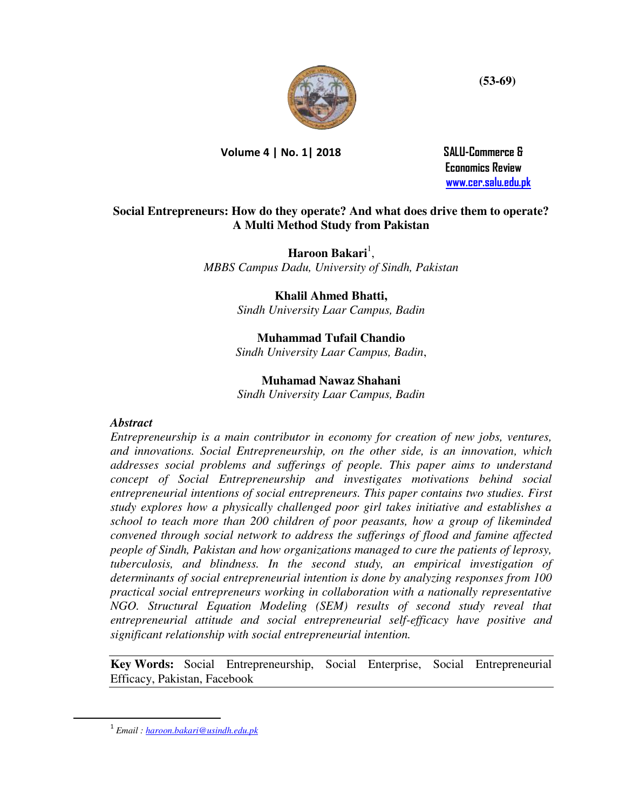

**Volume 4 | No. 1| 2018 SALU-Commerce &** 

 **Economics Review [www.cer.salu.edu.pk](http://www.cer.salu.edu.pk/)** 

# **Social Entrepreneurs: How do they operate? And what does drive them to operate? A Multi Method Study from Pakistan**

**Haroon Bakari**<sup>1</sup>, *MBBS Campus Dadu, University of Sindh, Pakistan*

**Khalil Ahmed Bhatti,** 

*Sindh University Laar Campus, Badin*

# **Muhammad Tufail Chandio**

*Sindh University Laar Campus, Badin*,

## **Muhamad Nawaz Shahani**

*Sindh University Laar Campus, Badin*

## *Abstract*

*Entrepreneurship is a main contributor in economy for creation of new jobs, ventures, and innovations. Social Entrepreneurship, on the other side, is an innovation, which addresses social problems and sufferings of people. This paper aims to understand concept of Social Entrepreneurship and investigates motivations behind social entrepreneurial intentions of social entrepreneurs. This paper contains two studies. First study explores how a physically challenged poor girl takes initiative and establishes a school to teach more than 200 children of poor peasants, how a group of likeminded convened through social network to address the sufferings of flood and famine affected people of Sindh, Pakistan and how organizations managed to cure the patients of leprosy, tuberculosis, and blindness. In the second study, an empirical investigation of determinants of social entrepreneurial intention is done by analyzing responses from 100 practical social entrepreneurs working in collaboration with a nationally representative NGO. Structural Equation Modeling (SEM) results of second study reveal that entrepreneurial attitude and social entrepreneurial self-efficacy have positive and significant relationship with social entrepreneurial intention.* 

**Key Words:** Social Entrepreneurship, Social Enterprise, Social Entrepreneurial Efficacy, Pakistan, Facebook

l

<sup>1</sup>  *Email [: haroon.bakari@usindh.edu.pk](mailto:haroon.bakari@usindh.edu.pk)*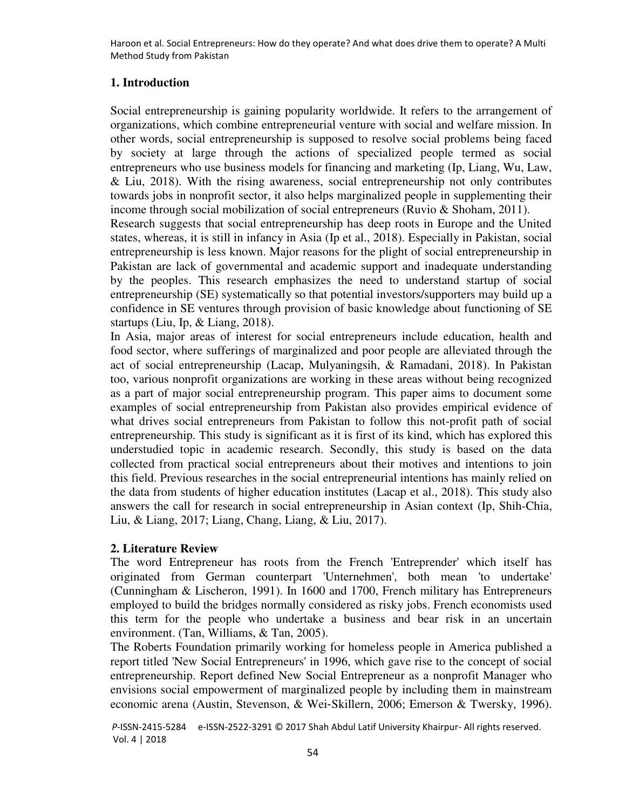# **1. Introduction**

Social entrepreneurship is gaining popularity worldwide. It refers to the arrangement of organizations, which combine entrepreneurial venture with social and welfare mission. In other words, social entrepreneurship is supposed to resolve social problems being faced by society at large through the actions of specialized people termed as social entrepreneurs who use business models for financing and marketing [\(Ip, Liang, Wu, Law,](#page-14-0)  [& Liu, 2018\)](#page-14-0). With the rising awareness, social entrepreneurship not only contributes towards jobs in nonprofit sector, it also helps marginalized people in supplementing their income through social mobilization of social entrepreneurs [\(Ruvio & Shoham, 2011\)](#page-15-0).

Research suggests that social entrepreneurship has deep roots in Europe and the United states, whereas, it is still in infancy in Asia [\(Ip et al., 2018\)](#page-14-0). Especially in Pakistan, social entrepreneurship is less known. Major reasons for the plight of social entrepreneurship in Pakistan are lack of governmental and academic support and inadequate understanding by the peoples. This research emphasizes the need to understand startup of social entrepreneurship (SE) systematically so that potential investors/supporters may build up a confidence in SE ventures through provision of basic knowledge about functioning of SE startups [\(Liu, Ip, & Liang, 2018\)](#page-15-1).

In Asia, major areas of interest for social entrepreneurs include education, health and food sector, where sufferings of marginalized and poor people are alleviated through the act of social entrepreneurship [\(Lacap, Mulyaningsih, & Ramadani, 2018\)](#page-14-1). In Pakistan too, various nonprofit organizations are working in these areas without being recognized as a part of major social entrepreneurship program. This paper aims to document some examples of social entrepreneurship from Pakistan also provides empirical evidence of what drives social entrepreneurs from Pakistan to follow this not-profit path of social entrepreneurship. This study is significant as it is first of its kind, which has explored this understudied topic in academic research. Secondly, this study is based on the data collected from practical social entrepreneurs about their motives and intentions to join this field. Previous researches in the social entrepreneurial intentions has mainly relied on the data from students of higher education institutes [\(Lacap et al., 2018\)](#page-14-1). This study also answers the call for research in social entrepreneurship in Asian context [\(Ip, Shih-Chia,](#page-14-2)  [Liu, & Liang, 2017;](#page-14-2) [Liang, Chang, Liang, & Liu, 2017\)](#page-15-2).

# **2. Literature Review**

The word Entrepreneur has roots from the French 'Entreprender' which itself has originated from German counterpart 'Unternehmen', both mean 'to undertake' [\(Cunningham & Lischeron, 1991\)](#page-14-3). In 1600 and 1700, French military has Entrepreneurs employed to build the bridges normally considered as risky jobs. French economists used this term for the people who undertake a business and bear risk in an uncertain environment. [\(Tan, Williams, & Tan, 2005\)](#page-15-3).

The Roberts Foundation primarily working for homeless people in America published a report titled 'New Social Entrepreneurs' in 1996, which gave rise to the concept of social entrepreneurship. Report defined New Social Entrepreneur as a nonprofit Manager who envisions social empowerment of marginalized people by including them in mainstream economic arena [\(Austin, Stevenson, & Wei](#page-13-0)‐Skillern, 2006; [Emerson & Twersky, 1996\)](#page-14-4).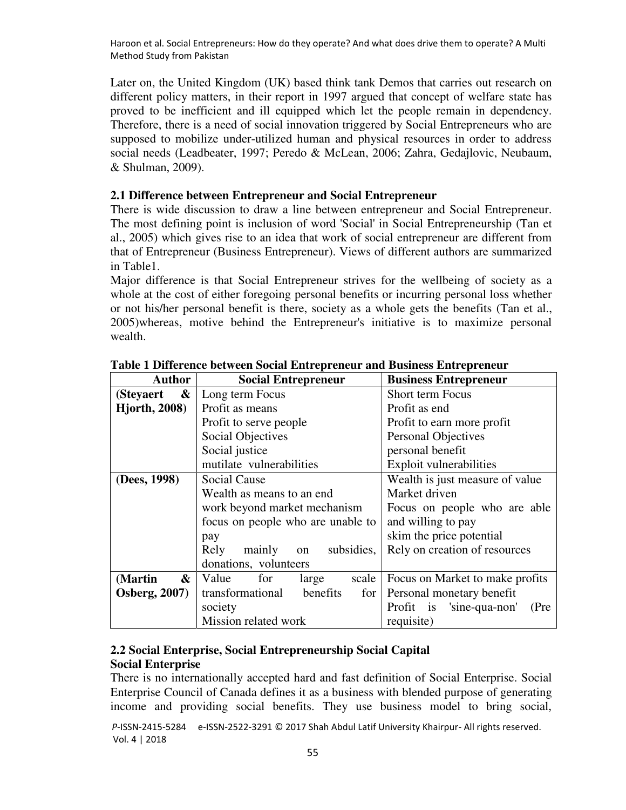Later on, the United Kingdom (UK) based think tank Demos that carries out research on different policy matters, in their report in 1997 argued that concept of welfare state has proved to be inefficient and ill equipped which let the people remain in dependency. Therefore, there is a need of social innovation triggered by Social Entrepreneurs who are supposed to mobilize under-utilized human and physical resources in order to address social needs [\(Leadbeater, 1997;](#page-14-5) [Peredo & McLean, 2006;](#page-15-4) [Zahra, Gedajlovic, Neubaum,](#page-16-0)  [& Shulman, 2009\)](#page-16-0).

### **2.1 Difference between Entrepreneur and Social Entrepreneur**

There is wide discussion to draw a line between entrepreneur and Social Entrepreneur. The most defining point is inclusion of word 'Social' in Social Entrepreneurship [\(Tan et](#page-15-3)  [al., 2005\)](#page-15-3) which gives rise to an idea that work of social entrepreneur are different from that of Entrepreneur (Business Entrepreneur). Views of different authors are summarized in Table1.

Major difference is that Social Entrepreneur strives for the wellbeing of society as a whole at the cost of either foregoing personal benefits or incurring personal loss whether or not his/her personal benefit is there, society as a whole gets the benefits [\(Tan et al.,](#page-15-3)  [2005\)](#page-15-3)whereas, motive behind the Entrepreneur's initiative is to maximize personal wealth.

| <b>Author</b>                  | <b>Social Entrepreneur</b>          | <b>Business Entrepreneur</b>     |  |  |  |
|--------------------------------|-------------------------------------|----------------------------------|--|--|--|
| $\boldsymbol{\&}$<br>(Steyaert | Long term Focus                     | <b>Short term Focus</b>          |  |  |  |
| <b>Hjorth, 2008)</b>           | Profit as means                     | Profit as end                    |  |  |  |
|                                | Profit to serve people              | Profit to earn more profit       |  |  |  |
|                                | <b>Social Objectives</b>            | <b>Personal Objectives</b>       |  |  |  |
|                                | Social justice                      | personal benefit                 |  |  |  |
|                                | mutilate vulnerabilities            | Exploit vulnerabilities          |  |  |  |
| (Dees, 1998)                   | <b>Social Cause</b>                 | Wealth is just measure of value  |  |  |  |
|                                | Wealth as means to an end           | Market driven                    |  |  |  |
|                                | work beyond market mechanism        | Focus on people who are able     |  |  |  |
|                                | focus on people who are unable to   | and willing to pay               |  |  |  |
|                                | pay                                 | skim the price potential         |  |  |  |
|                                | Rely<br>on subsidies,<br>mainly     | Rely on creation of resources    |  |  |  |
|                                | donations, volunteers               |                                  |  |  |  |
| (Martin<br>&                   | Value<br>for<br>large<br>scale      | Focus on Market to make profits  |  |  |  |
| <b>Osberg, 2007)</b>           | transformational<br>benefits<br>for | Personal monetary benefit        |  |  |  |
|                                | society                             | Profit is 'sine-qua-non'<br>(Pre |  |  |  |
|                                | Mission related work                | requisite)                       |  |  |  |

### **Table 1 Difference between Social Entrepreneur and Business Entrepreneur**

# **2.2 Social Enterprise, Social Entrepreneurship Social Capital Social Enterprise**

There is no internationally accepted hard and fast definition of Social Enterprise. Social Enterprise Council of Canada defines it as a business with blended purpose of generating income and providing social benefits. They use business model to bring social,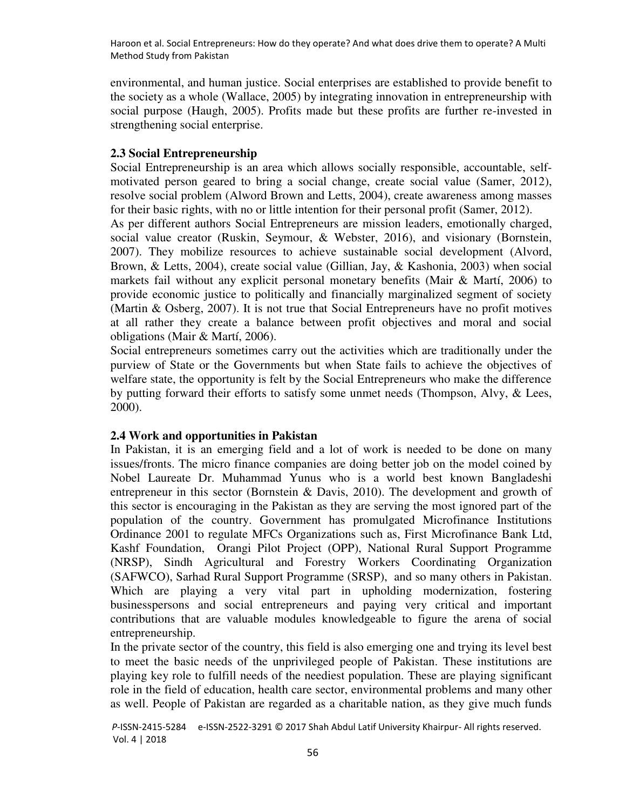environmental, and human justice. Social enterprises are established to provide benefit to the society as a whole [\(Wallace, 2005\)](#page-16-1) by integrating innovation in entrepreneurship with social purpose [\(Haugh, 2005\)](#page-14-7). Profits made but these profits are further re-invested in strengthening social enterprise.

### **2.3 Social Entrepreneurship**

Social Entrepreneurship is an area which allows socially responsible, accountable, selfmotivated person geared to bring a social change, create social value [\(Samer, 2012\)](#page-15-7), resolve social problem (Alword Brown and Letts, 2004), create awareness among masses for their basic rights, with no or little intention for their personal profit [\(Samer, 2012\)](#page-15-7).

As per different authors Social Entrepreneurs are mission leaders, emotionally charged, social value creator [\(Ruskin, Seymour, & Webster, 2016\)](#page-15-8), and visionary [\(Bornstein,](#page-13-1)  [2007\)](#page-13-1). They mobilize resources to achieve sustainable social development [\(Alvord,](#page-13-2)  [Brown, & Letts, 2004\)](#page-13-2), create social value [\(Gillian, Jay, & Kashonia, 2003\)](#page-14-8) when social markets fail without any explicit personal monetary benefits [\(Mair & Martí, 2006\)](#page-15-9) to provide economic justice to politically and financially marginalized segment of society [\(Martin & Osberg, 2007\)](#page-15-6). It is not true that Social Entrepreneurs have no profit motives at all rather they create a balance between profit objectives and moral and social obligations [\(Mair & Martí, 2006\)](#page-15-9).

Social entrepreneurs sometimes carry out the activities which are traditionally under the purview of State or the Governments but when State fails to achieve the objectives of welfare state, the opportunity is felt by the Social Entrepreneurs who make the difference by putting forward their efforts to satisfy some unmet needs [\(Thompson, Alvy, & Lees,](#page-15-10)  [2000\)](#page-15-10).

#### **2.4 Work and opportunities in Pakistan**

In Pakistan, it is an emerging field and a lot of work is needed to be done on many issues/fronts. The micro finance companies are doing better job on the model coined by Nobel Laureate Dr. Muhammad Yunus who is a world best known Bangladeshi entrepreneur in this sector [\(Bornstein & Davis, 2010\)](#page-13-3). The development and growth of this sector is encouraging in the Pakistan as they are serving the most ignored part of the population of the country. Government has promulgated Microfinance Institutions Ordinance 2001 to regulate MFCs Organizations such as, First Microfinance Bank Ltd, Kashf Foundation, Orangi Pilot Project (OPP), National Rural Support Programme (NRSP), Sindh Agricultural and Forestry Workers Coordinating Organization (SAFWCO), Sarhad Rural Support Programme (SRSP), and so many others in Pakistan. Which are playing a very vital part in upholding modernization, fostering businesspersons and social entrepreneurs and paying very critical and important contributions that are valuable modules knowledgeable to figure the arena of social entrepreneurship.

In the private sector of the country, this field is also emerging one and trying its level best to meet the basic needs of the unprivileged people of Pakistan. These institutions are playing key role to fulfill needs of the neediest population. These are playing significant role in the field of education, health care sector, environmental problems and many other as well. People of Pakistan are regarded as a charitable nation, as they give much funds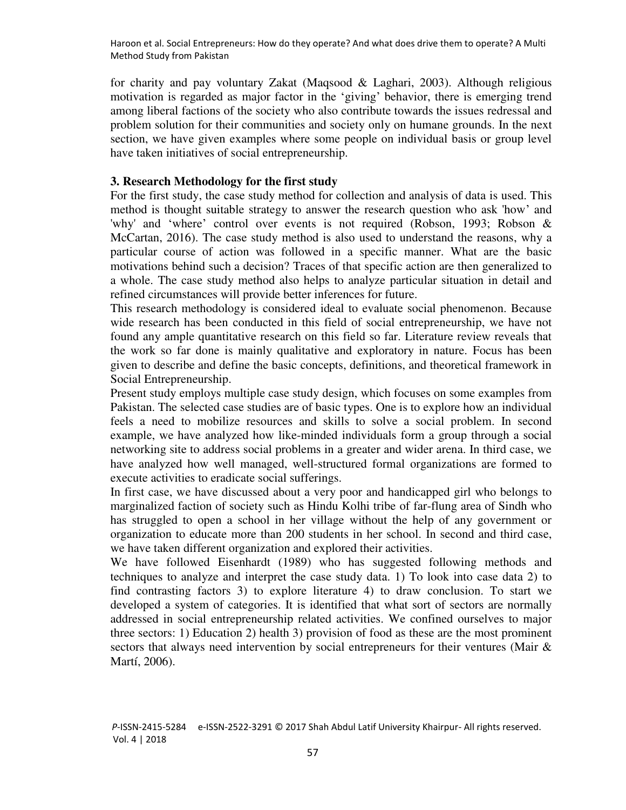for charity and pay voluntary Zakat [\(Maqsood & Laghari, 2003\)](#page-15-11). Although religious motivation is regarded as major factor in the 'giving' behavior, there is emerging trend among liberal factions of the society who also contribute towards the issues redressal and problem solution for their communities and society only on humane grounds. In the next section, we have given examples where some people on individual basis or group level have taken initiatives of social entrepreneurship.

#### **3. Research Methodology for the first study**

For the first study, the case study method for collection and analysis of data is used. This method is thought suitable strategy to answer the research question who ask 'how' and 'why' and 'where' control over events is not required [\(Robson, 1993;](#page-15-12) [Robson &](#page-15-13)  [McCartan, 2016\)](#page-15-13). The case study method is also used to understand the reasons, why a particular course of action was followed in a specific manner. What are the basic motivations behind such a decision? Traces of that specific action are then generalized to a whole. The case study method also helps to analyze particular situation in detail and refined circumstances will provide better inferences for future.

This research methodology is considered ideal to evaluate social phenomenon. Because wide research has been conducted in this field of social entrepreneurship, we have not found any ample quantitative research on this field so far. Literature review reveals that the work so far done is mainly qualitative and exploratory in nature. Focus has been given to describe and define the basic concepts, definitions, and theoretical framework in Social Entrepreneurship.

Present study employs multiple case study design, which focuses on some examples from Pakistan. The selected case studies are of basic types. One is to explore how an individual feels a need to mobilize resources and skills to solve a social problem. In second example, we have analyzed how like-minded individuals form a group through a social networking site to address social problems in a greater and wider arena. In third case, we have analyzed how well managed, well-structured formal organizations are formed to execute activities to eradicate social sufferings.

In first case, we have discussed about a very poor and handicapped girl who belongs to marginalized faction of society such as Hindu Kolhi tribe of far-flung area of Sindh who has struggled to open a school in her village without the help of any government or organization to educate more than 200 students in her school. In second and third case, we have taken different organization and explored their activities.

We have followed [Eisenhardt \(1989\)](#page-14-9) who has suggested following methods and techniques to analyze and interpret the case study data. 1) To look into case data 2) to find contrasting factors 3) to explore literature 4) to draw conclusion. To start we developed a system of categories. It is identified that what sort of sectors are normally addressed in social entrepreneurship related activities. We confined ourselves to major three sectors: 1) Education 2) health 3) provision of food as these are the most prominent sectors that always need intervention by social entrepreneurs for their ventures [\(Mair &](#page-15-9)  [Martí, 2006\)](#page-15-9).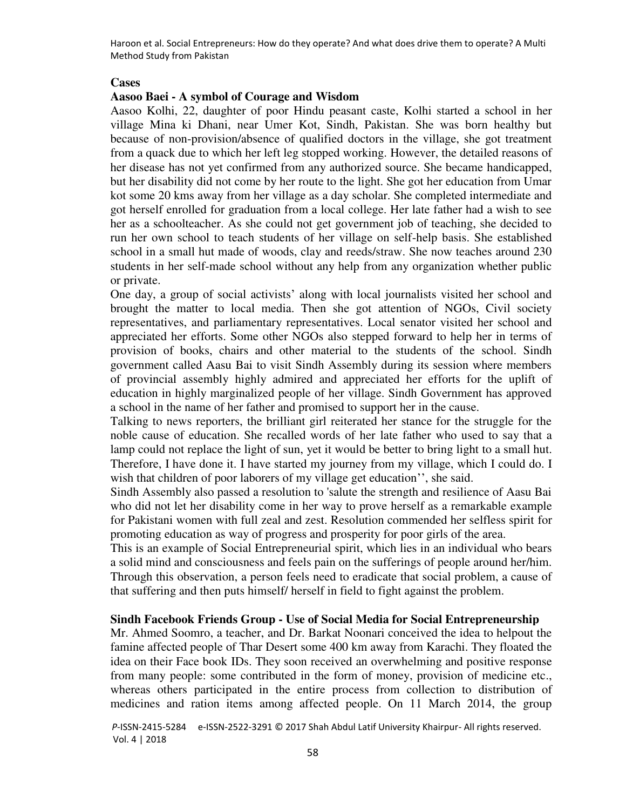#### **Cases**

### **Aasoo Baei - A symbol of Courage and Wisdom**

Aasoo Kolhi, 22, daughter of poor Hindu peasant caste, Kolhi started a school in her village Mina ki Dhani, near Umer Kot, Sindh, Pakistan. She was born healthy but because of non-provision/absence of qualified doctors in the village, she got treatment from a quack due to which her left leg stopped working. However, the detailed reasons of her disease has not yet confirmed from any authorized source. She became handicapped, but her disability did not come by her route to the light. She got her education from Umar kot some 20 kms away from her village as a day scholar. She completed intermediate and got herself enrolled for graduation from a local college. Her late father had a wish to see her as a schoolteacher. As she could not get government job of teaching, she decided to run her own school to teach students of her village on self-help basis. She established school in a small hut made of woods, clay and reeds/straw. She now teaches around 230 students in her self-made school without any help from any organization whether public or private.

One day, a group of social activists' along with local journalists visited her school and brought the matter to local media. Then she got attention of NGOs, Civil society representatives, and parliamentary representatives. Local senator visited her school and appreciated her efforts. Some other NGOs also stepped forward to help her in terms of provision of books, chairs and other material to the students of the school. Sindh government called Aasu Bai to visit Sindh Assembly during its session where members of provincial assembly highly admired and appreciated her efforts for the uplift of education in highly marginalized people of her village. Sindh Government has approved a school in the name of her father and promised to support her in the cause.

Talking to news reporters, the brilliant girl reiterated her stance for the struggle for the noble cause of education. She recalled words of her late father who used to say that a lamp could not replace the light of sun, yet it would be better to bring light to a small hut. Therefore, I have done it. I have started my journey from my village, which I could do. I wish that children of poor laborers of my village get education'', she said.

Sindh Assembly also passed a resolution to 'salute the strength and resilience of Aasu Bai who did not let her disability come in her way to prove herself as a remarkable example for Pakistani women with full zeal and zest. Resolution commended her selfless spirit for promoting education as way of progress and prosperity for poor girls of the area.

This is an example of Social Entrepreneurial spirit, which lies in an individual who bears a solid mind and consciousness and feels pain on the sufferings of people around her/him. Through this observation, a person feels need to eradicate that social problem, a cause of that suffering and then puts himself/ herself in field to fight against the problem.

#### **Sindh Facebook Friends Group - Use of Social Media for Social Entrepreneurship**

Mr. Ahmed Soomro, a teacher, and Dr. Barkat Noonari conceived the idea to helpout the famine affected people of Thar Desert some 400 km away from Karachi. They floated the idea on their Face book IDs. They soon received an overwhelming and positive response from many people: some contributed in the form of money, provision of medicine etc., whereas others participated in the entire process from collection to distribution of medicines and ration items among affected people. On 11 March 2014, the group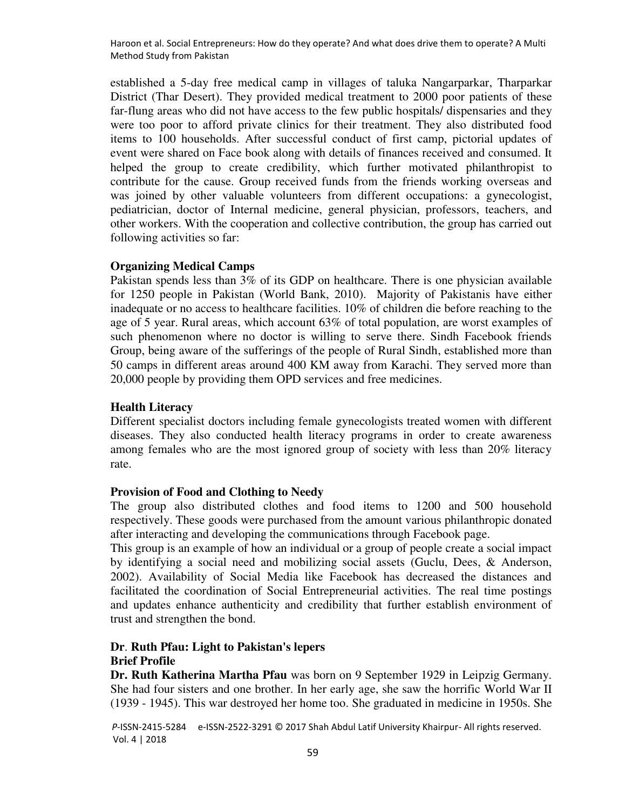established a 5-day free medical camp in villages of taluka Nangarparkar, Tharparkar District (Thar Desert). They provided medical treatment to 2000 poor patients of these far-flung areas who did not have access to the few public hospitals/ dispensaries and they were too poor to afford private clinics for their treatment. They also distributed food items to 100 households. After successful conduct of first camp, pictorial updates of event were shared on Face book along with details of finances received and consumed. It helped the group to create credibility, which further motivated philanthropist to contribute for the cause. Group received funds from the friends working overseas and was joined by other valuable volunteers from different occupations: a gynecologist, pediatrician, doctor of Internal medicine, general physician, professors, teachers, and other workers. With the cooperation and collective contribution, the group has carried out following activities so far:

### **Organizing Medical Camps**

Pakistan spends less than 3% of its GDP on healthcare. There is one physician available for 1250 people in Pakistan (World Bank, 2010). Majority of Pakistanis have either inadequate or no access to healthcare facilities. 10% of children die before reaching to the age of 5 year. Rural areas, which account 63% of total population, are worst examples of such phenomenon where no doctor is willing to serve there. Sindh Facebook friends Group, being aware of the sufferings of the people of Rural Sindh, established more than 50 camps in different areas around 400 KM away from Karachi. They served more than 20,000 people by providing them OPD services and free medicines.

### **Health Literacy**

Different specialist doctors including female gynecologists treated women with different diseases. They also conducted health literacy programs in order to create awareness among females who are the most ignored group of society with less than 20% literacy rate.

## **Provision of Food and Clothing to Needy**

The group also distributed clothes and food items to 1200 and 500 household respectively. These goods were purchased from the amount various philanthropic donated after interacting and developing the communications through Facebook page.

This group is an example of how an individual or a group of people create a social impact by identifying a social need and mobilizing social assets [\(Guclu, Dees, & Anderson,](#page-14-10)  [2002\)](#page-14-10). Availability of Social Media like Facebook has decreased the distances and facilitated the coordination of Social Entrepreneurial activities. The real time postings and updates enhance authenticity and credibility that further establish environment of trust and strengthen the bond.

## **Dr**. **[Ruth Pfau: Light to Pakistan's lepers](http://www.dawn.com/news/1094184/dr-ruth-pfau-light-to-pakistans-lepers)  Brief Profile**

**Dr. Ruth Katherina Martha Pfau** was born on 9 September 1929 in Leipzig Germany. She had four sisters and one brother. In her early age, she saw the horrific World War II (1939 - 1945). This war destroyed her home too. She graduated in medicine in 1950s. She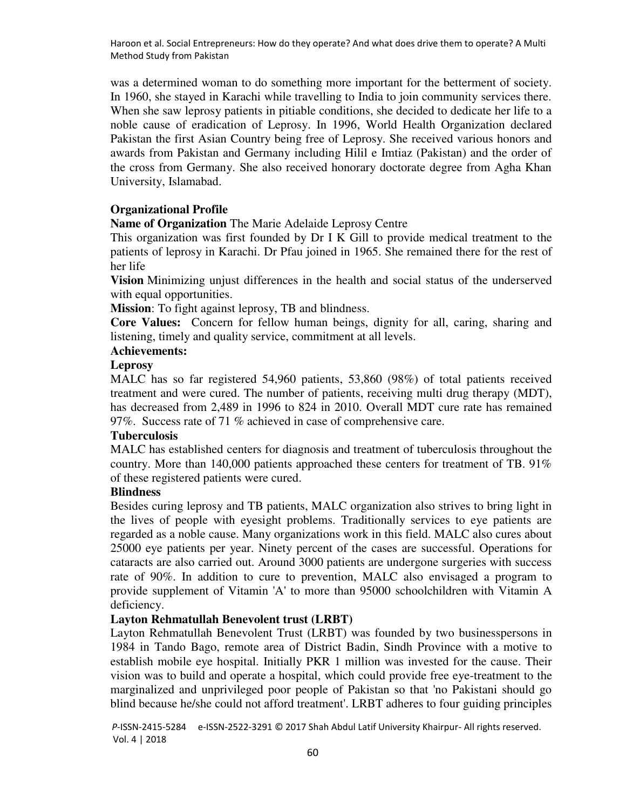was a determined woman to do something more important for the betterment of society. In 1960, she stayed in Karachi while travelling to India to join community services there. When she saw leprosy patients in pitiable conditions, she decided to dedicate her life to a noble cause of eradication of Leprosy. In 1996, World Health Organization declared Pakistan the first Asian Country being free of Leprosy. She received various honors and awards from Pakistan and Germany including Hilil e Imtiaz (Pakistan) and the order of the cross from Germany. She also received honorary doctorate degree from Agha Khan University, Islamabad.

## **Organizational Profile**

**Name of Organization** The [Marie Adelaide Leprosy Centre](http://en.wikipedia.org/wiki/Marie_Adelaide_Leprosy_Centre) 

This organization was first founded by Dr I K Gill to provide medical treatment to the patients of leprosy in Karachi. Dr Pfau joined in 1965. She remained there for the rest of her life

**Vision** Minimizing unjust differences in the health and social status of the underserved with equal opportunities.

**Mission**: To fight against leprosy, TB and blindness.

**Core Values:** Concern for fellow human beings, dignity for all, caring, sharing and listening, timely and quality service, commitment at all levels.

# **Achievements:**

# **Leprosy**

MALC has so far registered 54,960 patients, 53,860 (98%) of total patients received treatment and were cured. The number of patients, receiving multi drug therapy (MDT), has decreased from 2,489 in 1996 to 824 in 2010. Overall MDT cure rate has remained 97%. Success rate of 71 % achieved in case of comprehensive care.

#### **Tuberculosis**

MALC has established centers for diagnosis and treatment of tuberculosis throughout the country. More than 140,000 patients approached these centers for treatment of TB. 91% of these registered patients were cured.

#### **Blindness**

Besides curing leprosy and TB patients, MALC organization also strives to bring light in the lives of people with eyesight problems. Traditionally services to eye patients are regarded as a noble cause. Many organizations work in this field. MALC also cures about 25000 eye patients per year. Ninety percent of the cases are successful. Operations for cataracts are also carried out. Around 3000 patients are undergone surgeries with success rate of 90%. In addition to cure to prevention, MALC also envisaged a program to provide supplement of Vitamin 'A' to more than 95000 schoolchildren with Vitamin A deficiency.

### **Layton Rehmatullah Benevolent trust (LRBT)**

Layton Rehmatullah Benevolent Trust (LRBT) was founded by two businesspersons in 1984 in Tando Bago, remote area of District Badin, Sindh Province with a motive to establish mobile eye hospital. Initially PKR 1 million was invested for the cause. Their vision was to build and operate a hospital, which could provide free eye-treatment to the marginalized and unprivileged poor people of Pakistan so that 'no Pakistani should go blind because he/she could not afford treatment'. LRBT adheres to four guiding principles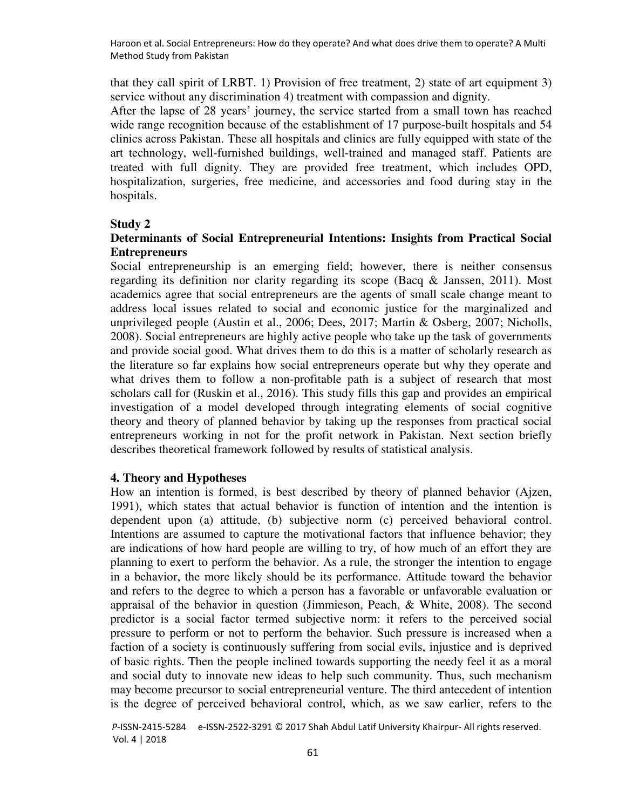that they call spirit of LRBT. 1) Provision of free treatment, 2) state of art equipment 3) service without any discrimination 4) treatment with compassion and dignity.

After the lapse of 28 years' journey, the service started from a small town has reached wide range recognition because of the establishment of 17 purpose-built hospitals and 54 clinics across Pakistan. These all hospitals and clinics are fully equipped with state of the art technology, well-furnished buildings, well-trained and managed staff. Patients are treated with full dignity. They are provided free treatment, which includes OPD, hospitalization, surgeries, free medicine, and accessories and food during stay in the hospitals.

#### **Study 2**

### **Determinants of Social Entrepreneurial Intentions: Insights from Practical Social Entrepreneurs**

Social entrepreneurship is an emerging field; however, there is neither consensus regarding its definition nor clarity regarding its scope [\(Bacq & Janssen, 2011\)](#page-13-4). Most academics agree that social entrepreneurs are the agents of small scale change meant to address local issues related to social and economic justice for the marginalized and unprivileged people [\(Austin et al., 2006;](#page-13-0) [Dees, 2017;](#page-14-11) [Martin & Osberg, 2007;](#page-15-6) [Nicholls,](#page-15-14)  [2008\)](#page-15-14). Social entrepreneurs are highly active people who take up the task of governments and provide social good. What drives them to do this is a matter of scholarly research as the literature so far explains how social entrepreneurs operate but why they operate and what drives them to follow a non-profitable path is a subject of research that most scholars call for [\(Ruskin et al., 2016\)](#page-15-8). This study fills this gap and provides an empirical investigation of a model developed through integrating elements of social cognitive theory and theory of planned behavior by taking up the responses from practical social entrepreneurs working in not for the profit network in Pakistan. Next section briefly describes theoretical framework followed by results of statistical analysis.

#### **4. Theory and Hypotheses**

How an intention is formed, is best described by theory of planned behavior [\(Ajzen,](#page-13-5)  [1991\)](#page-13-5), which states that actual behavior is function of intention and the intention is dependent upon (a) attitude, (b) subjective norm (c) perceived behavioral control. Intentions are assumed to capture the motivational factors that influence behavior; they are indications of how hard people are willing to try, of how much of an effort they are planning to exert to perform the behavior. As a rule, the stronger the intention to engage in a behavior, the more likely should be its performance. Attitude toward the behavior and refers to the degree to which a person has a favorable or unfavorable evaluation or appraisal of the behavior in question [\(Jimmieson, Peach, & White, 2008\)](#page-14-12). The second predictor is a social factor termed subjective norm: it refers to the perceived social pressure to perform or not to perform the behavior. Such pressure is increased when a faction of a society is continuously suffering from social evils, injustice and is deprived of basic rights. Then the people inclined towards supporting the needy feel it as a moral and social duty to innovate new ideas to help such community. Thus, such mechanism may become precursor to social entrepreneurial venture. The third antecedent of intention is the degree of perceived behavioral control, which, as we saw earlier, refers to the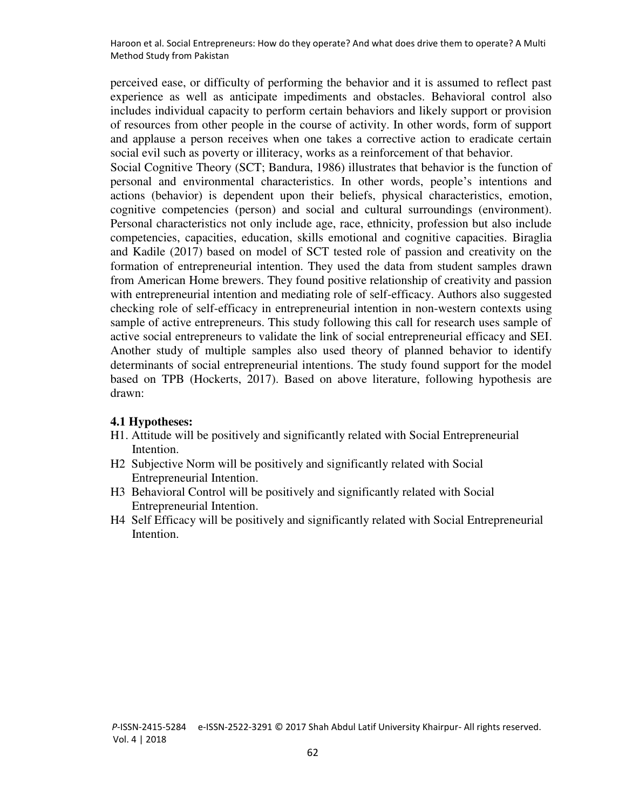perceived ease, or difficulty of performing the behavior and it is assumed to reflect past experience as well as anticipate impediments and obstacles. Behavioral control also includes individual capacity to perform certain behaviors and likely support or provision of resources from other people in the course of activity. In other words, form of support and applause a person receives when one takes a corrective action to eradicate certain social evil such as poverty or illiteracy, works as a reinforcement of that behavior.

Social Cognitive Theory [\(SCT; Bandura, 1986\)](#page-13-6) illustrates that behavior is the function of personal and environmental characteristics. In other words, people's intentions and actions (behavior) is dependent upon their beliefs, physical characteristics, emotion, cognitive competencies (person) and social and cultural surroundings (environment). Personal characteristics not only include age, race, ethnicity, profession but also include competencies, capacities, education, skills emotional and cognitive capacities. [Biraglia](#page-13-7)  and Kadile (2017) based on model of SCT tested role of passion and creativity on the formation of entrepreneurial intention. They used the data from student samples drawn from American Home brewers. They found positive relationship of creativity and passion with entrepreneurial intention and mediating role of self-efficacy. Authors also suggested checking role of self-efficacy in entrepreneurial intention in non-western contexts using sample of active entrepreneurs. This study following this call for research uses sample of active social entrepreneurs to validate the link of social entrepreneurial efficacy and SEI. Another study of multiple samples also used theory of planned behavior to identify determinants of social entrepreneurial intentions. The study found support for the model based on TPB [\(Hockerts, 2017\)](#page-14-13). Based on above literature, following hypothesis are drawn:

#### **4.1 Hypotheses:**

- H1. Attitude will be positively and significantly related with Social Entrepreneurial Intention.
- H2 Subjective Norm will be positively and significantly related with Social Entrepreneurial Intention.
- H3 Behavioral Control will be positively and significantly related with Social Entrepreneurial Intention.
- H4 Self Efficacy will be positively and significantly related with Social Entrepreneurial Intention.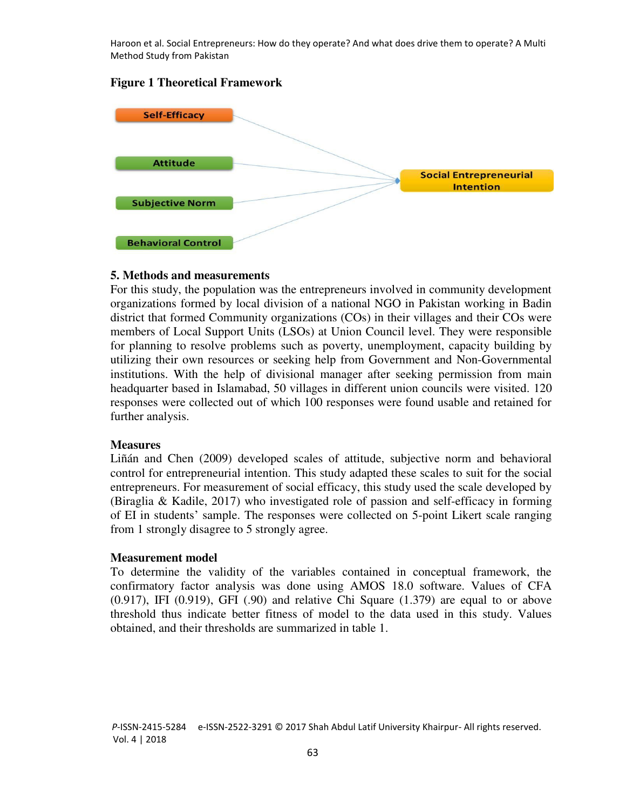# **Figure 1 Theoretical Framework**



## **5. Methods and measurements**

For this study, the population was the entrepreneurs involved in community development organizations formed by local division of a national NGO in Pakistan working in Badin district that formed Community organizations (COs) in their villages and their COs were members of Local Support Units (LSOs) at Union Council level. They were responsible for planning to resolve problems such as poverty, unemployment, capacity building by utilizing their own resources or seeking help from Government and Non-Governmental institutions. With the help of divisional manager after seeking permission from main headquarter based in Islamabad, 50 villages in different union councils were visited. 120 responses were collected out of which 100 responses were found usable and retained for further analysis.

#### **Measures**

[Liñán and Chen \(2009\)](#page-15-15) developed scales of attitude, subjective norm and behavioral control for entrepreneurial intention. This study adapted these scales to suit for the social entrepreneurs. For measurement of social efficacy, this study used the scale developed by [\(Biraglia & Kadile, 2017\)](#page-13-7) who investigated role of passion and self-efficacy in forming of EI in students' sample. The responses were collected on 5-point Likert scale ranging from 1 strongly disagree to 5 strongly agree.

#### **Measurement model**

To determine the validity of the variables contained in conceptual framework, the confirmatory factor analysis was done using AMOS 18.0 software. Values of CFA  $(0.917)$ , IFI  $(0.919)$ , GFI  $(.90)$  and relative Chi Square  $(1.379)$  are equal to or above threshold thus indicate better fitness of model to the data used in this study. Values obtained, and their thresholds are summarized in table 1.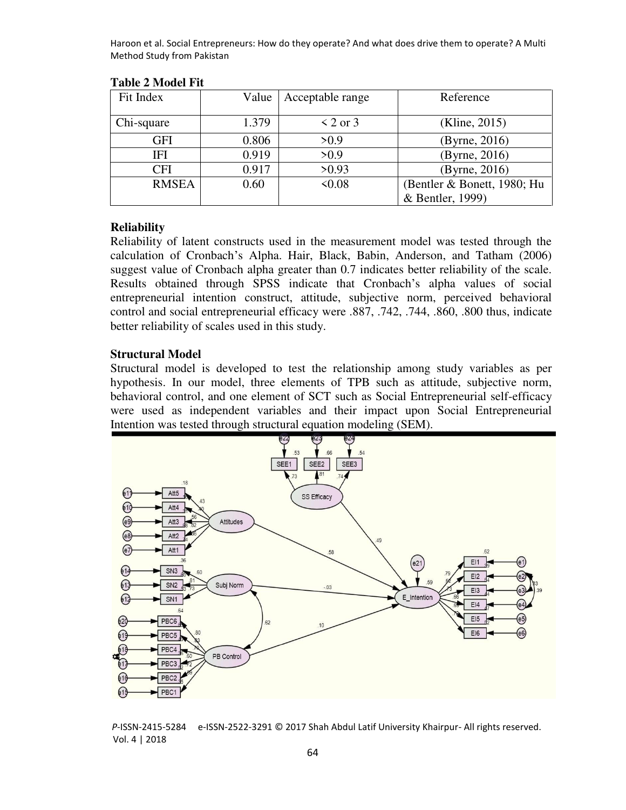| Fit Index    | Value | Acceptable range | Reference                   |  |
|--------------|-------|------------------|-----------------------------|--|
| Chi-square   | 1.379 | $\leq$ 2 or 3    | (Kline, 2015)               |  |
| GFI          | 0.806 | >0.9             | (Byrne, 2016)               |  |
| IFI          | 0.919 | >0.9             | (Byrne, 2016)               |  |
| CFI          | 0.917 | >0.93            | (Byrne, 2016)               |  |
| <b>RMSEA</b> | 0.60  | <0.08            | (Bentler & Bonett, 1980; Hu |  |
|              |       |                  | & Bentler, 1999)            |  |

#### **Table 2 Model Fit**

### **Reliability**

Reliability of latent constructs used in the measurement model was tested through the calculation of Cronbach's Alpha. [Hair, Black, Babin, Anderson, and Tatham \(2006\)](#page-14-16)  suggest value of Cronbach alpha greater than 0.7 indicates better reliability of the scale. Results obtained through SPSS indicate that Cronbach's alpha values of social entrepreneurial intention construct, attitude, subjective norm, perceived behavioral control and social entrepreneurial efficacy were .887, .742, .744, .860, .800 thus, indicate better reliability of scales used in this study.

## **Structural Model**

Structural model is developed to test the relationship among study variables as per hypothesis. In our model, three elements of TPB such as attitude, subjective norm, behavioral control, and one element of SCT such as Social Entrepreneurial self-efficacy were used as independent variables and their impact upon Social Entrepreneurial Intention was tested through structural equation modeling (SEM).

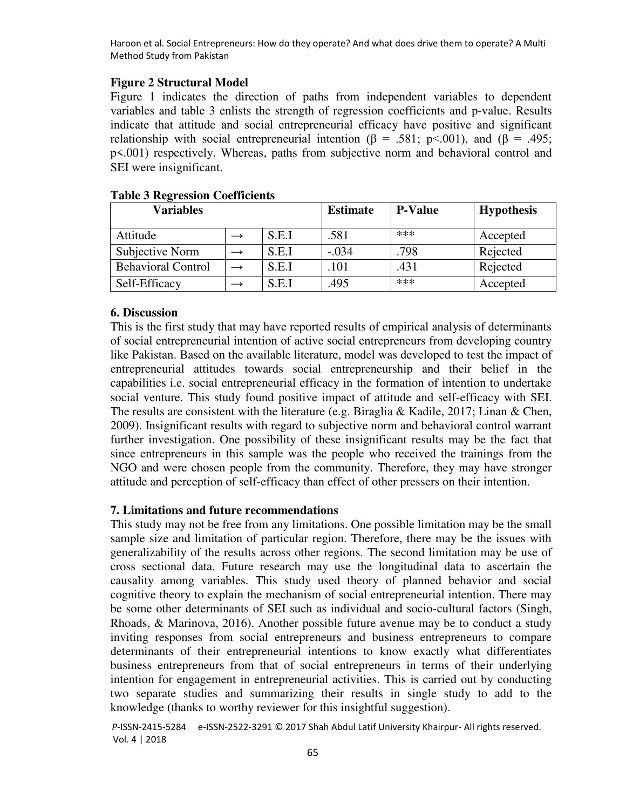# **Figure 2 Structural Model**

Figure 1 indicates the direction of paths from independent variables to dependent variables and table 3 enlists the strength of regression coefficients and p-value. Results indicate that attitude and social entrepreneurial efficacy have positive and significant relationship with social entrepreneurial intention ( $\beta$  = .581; p<.001), and ( $\beta$  = .495; p<.001) respectively. Whereas, paths from subjective norm and behavioral control and SEI were insignificant.

| <b>Variables</b>          |       | <b>Estimate</b> | <b>P-Value</b> | <b>Hypothesis</b> |
|---------------------------|-------|-----------------|----------------|-------------------|
| Attitude                  | S.E.I | .581            | ***            | Accepted          |
| Subjective Norm           | S.E.I | $-.034$         | .798           | Rejected          |
| <b>Behavioral Control</b> | S.E.I | .101            | .431           | Rejected          |
| Self-Efficacy             | S.E.I | .495            | ***            | Accepted          |

## **Table 3 Regression Coefficients**

## **6. Discussion**

This is the first study that may have reported results of empirical analysis of determinants of social entrepreneurial intention of active social entrepreneurs from developing country like Pakistan. Based on the available literature, model was developed to test the impact of entrepreneurial attitudes towards social entrepreneurship and their belief in the capabilities i.e. social entrepreneurial efficacy in the formation of intention to undertake social venture. This study found positive impact of attitude and self-efficacy with SEI. The results are consistent with the literature (e.g. [Biraglia & Kadile, 2017;](#page-13-7) Linan & Chen, [2009\)](#page-15-15). Insignificant results with regard to subjective norm and behavioral control warrant further investigation. One possibility of these insignificant results may be the fact that since entrepreneurs in this sample was the people who received the trainings from the NGO and were chosen people from the community. Therefore, they may have stronger attitude and perception of self-efficacy than effect of other pressers on their intention.

## **7. Limitations and future recommendations**

This study may not be free from any limitations. One possible limitation may be the small sample size and limitation of particular region. Therefore, there may be the issues with generalizability of the results across other regions. The second limitation may be use of cross sectional data. Future research may use the longitudinal data to ascertain the causality among variables. This study used theory of planned behavior and social cognitive theory to explain the mechanism of social entrepreneurial intention. There may be some other determinants of SEI such as individual and socio-cultural factors [\(Singh,](#page-15-16)  [Rhoads, & Marinova, 2016\)](#page-15-16). Another possible future avenue may be to conduct a study inviting responses from social entrepreneurs and business entrepreneurs to compare determinants of their entrepreneurial intentions to know exactly what differentiates business entrepreneurs from that of social entrepreneurs in terms of their underlying intention for engagement in entrepreneurial activities. This is carried out by conducting two separate studies and summarizing their results in single study to add to the knowledge (thanks to worthy reviewer for this insightful suggestion).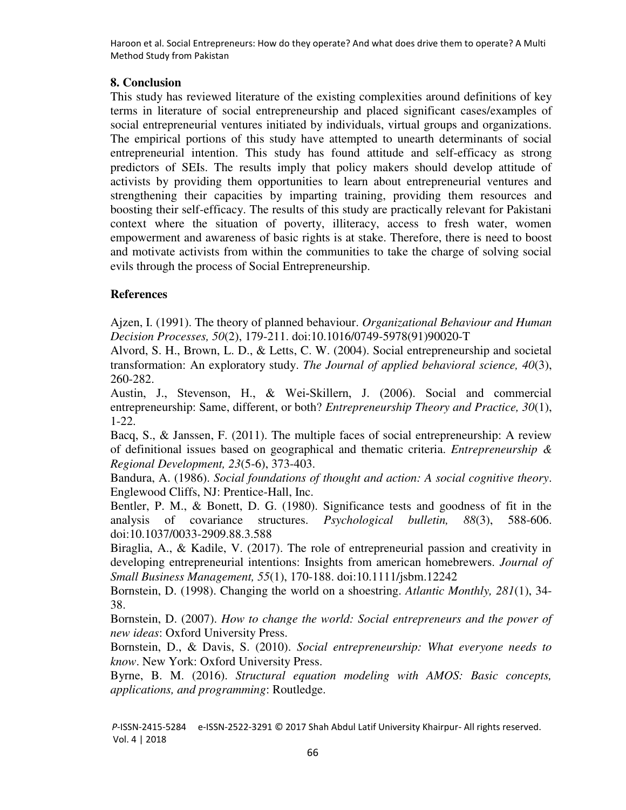# **8. Conclusion**

This study has reviewed literature of the existing complexities around definitions of key terms in literature of social entrepreneurship and placed significant cases/examples of social entrepreneurial ventures initiated by individuals, virtual groups and organizations. The empirical portions of this study have attempted to unearth determinants of social entrepreneurial intention. This study has found attitude and self-efficacy as strong predictors of SEIs. The results imply that policy makers should develop attitude of activists by providing them opportunities to learn about entrepreneurial ventures and strengthening their capacities by imparting training, providing them resources and boosting their self-efficacy. The results of this study are practically relevant for Pakistani context where the situation of poverty, illiteracy, access to fresh water, women empowerment and awareness of basic rights is at stake. Therefore, there is need to boost and motivate activists from within the communities to take the charge of solving social evils through the process of Social Entrepreneurship.

# **References**

<span id="page-13-5"></span>Ajzen, I. (1991). The theory of planned behaviour. *Organizational Behaviour and Human Decision Processes, 50*(2), 179-211. doi:10.1016/0749-5978(91)90020-T

<span id="page-13-2"></span>Alvord, S. H., Brown, L. D., & Letts, C. W. (2004). Social entrepreneurship and societal transformation: An exploratory study. *The Journal of applied behavioral science, 40*(3), 260-282.

<span id="page-13-0"></span>Austin, J., Stevenson, H., & Wei‐Skillern, J. (2006). Social and commercial entrepreneurship: Same, different, or both? *Entrepreneurship Theory and Practice, 30*(1), 1-22.

<span id="page-13-4"></span>Bacq, S., & Janssen, F. (2011). The multiple faces of social entrepreneurship: A review of definitional issues based on geographical and thematic criteria. *Entrepreneurship & Regional Development, 23*(5-6), 373-403.

<span id="page-13-6"></span>Bandura, A. (1986). *Social foundations of thought and action: A social cognitive theory*. Englewood Cliffs, NJ: Prentice-Hall, Inc.

<span id="page-13-9"></span>Bentler, P. M., & Bonett, D. G. (1980). Significance tests and goodness of fit in the analysis of covariance structures. *Psychological bulletin, 88*(3), 588-606. doi:10.1037/0033-2909.88.3.588

<span id="page-13-7"></span>Biraglia, A., & Kadile, V. (2017). The role of entrepreneurial passion and creativity in developing entrepreneurial intentions: Insights from american homebrewers. *Journal of Small Business Management, 55*(1), 170-188. doi:10.1111/jsbm.12242

Bornstein, D. (1998). Changing the world on a shoestring. *Atlantic Monthly, 281*(1), 34- 38.

<span id="page-13-1"></span>Bornstein, D. (2007). *How to change the world: Social entrepreneurs and the power of new ideas*: Oxford University Press.

<span id="page-13-3"></span>Bornstein, D., & Davis, S. (2010). *Social entrepreneurship: What everyone needs to know*. New York: Oxford University Press.

<span id="page-13-8"></span>Byrne, B. M. (2016). *Structural equation modeling with AMOS: Basic concepts, applications, and programming*: Routledge.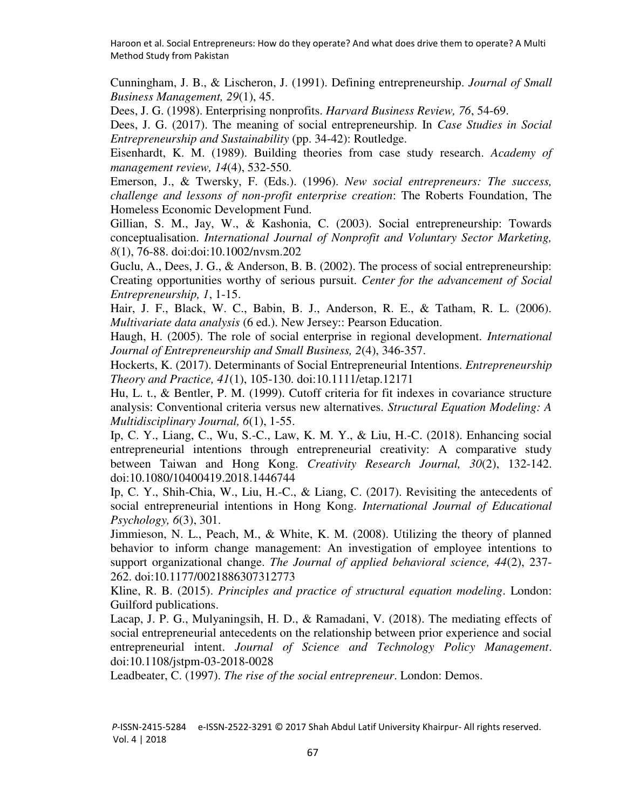<span id="page-14-3"></span>Cunningham, J. B., & Lischeron, J. (1991). Defining entrepreneurship. *Journal of Small Business Management, 29*(1), 45.

<span id="page-14-6"></span>Dees, J. G. (1998). Enterprising nonprofits. *Harvard Business Review, 76*, 54-69.

<span id="page-14-11"></span>Dees, J. G. (2017). The meaning of social entrepreneurship. In *Case Studies in Social Entrepreneurship and Sustainability* (pp. 34-42): Routledge.

<span id="page-14-9"></span>Eisenhardt, K. M. (1989). Building theories from case study research. *Academy of management review, 14*(4), 532-550.

<span id="page-14-4"></span>Emerson, J., & Twersky, F. (Eds.). (1996). *New social entrepreneurs: The success, challenge and lessons of non-profit enterprise creation*: The Roberts Foundation, The Homeless Economic Development Fund.

<span id="page-14-8"></span>Gillian, S. M., Jay, W., & Kashonia, C. (2003). Social entrepreneurship: Towards conceptualisation. *International Journal of Nonprofit and Voluntary Sector Marketing, 8*(1), 76-88. doi:doi:10.1002/nvsm.202

<span id="page-14-10"></span>Guclu, A., Dees, J. G., & Anderson, B. B. (2002). The process of social entrepreneurship: Creating opportunities worthy of serious pursuit. *Center for the advancement of Social Entrepreneurship, 1*, 1-15.

<span id="page-14-16"></span>Hair, J. F., Black, W. C., Babin, B. J., Anderson, R. E., & Tatham, R. L. (2006). *Multivariate data analysis* (6 ed.). New Jersey:: Pearson Education.

<span id="page-14-7"></span>Haugh, H. (2005). The role of social enterprise in regional development. *International Journal of Entrepreneurship and Small Business, 2*(4), 346-357.

<span id="page-14-13"></span>Hockerts, K. (2017). Determinants of Social Entrepreneurial Intentions. *Entrepreneurship Theory and Practice, 41*(1), 105-130. doi:10.1111/etap.12171

<span id="page-14-15"></span>Hu, L. t., & Bentler, P. M. (1999). Cutoff criteria for fit indexes in covariance structure analysis: Conventional criteria versus new alternatives. *Structural Equation Modeling: A Multidisciplinary Journal, 6*(1), 1-55.

<span id="page-14-0"></span>Ip, C. Y., Liang, C., Wu, S.-C., Law, K. M. Y., & Liu, H.-C. (2018). Enhancing social entrepreneurial intentions through entrepreneurial creativity: A comparative study between Taiwan and Hong Kong. *Creativity Research Journal, 30*(2), 132-142. doi:10.1080/10400419.2018.1446744

<span id="page-14-2"></span>Ip, C. Y., Shih-Chia, W., Liu, H.-C., & Liang, C. (2017). Revisiting the antecedents of social entrepreneurial intentions in Hong Kong. *International Journal of Educational Psychology, 6*(3), 301.

<span id="page-14-12"></span>Jimmieson, N. L., Peach, M., & White, K. M. (2008). Utilizing the theory of planned behavior to inform change management: An investigation of employee intentions to support organizational change. *The Journal of applied behavioral science, 44*(2), 237- 262. doi:10.1177/0021886307312773

<span id="page-14-14"></span>Kline, R. B. (2015). *Principles and practice of structural equation modeling*. London: Guilford publications.

<span id="page-14-1"></span>Lacap, J. P. G., Mulyaningsih, H. D., & Ramadani, V. (2018). The mediating effects of social entrepreneurial antecedents on the relationship between prior experience and social entrepreneurial intent. *Journal of Science and Technology Policy Management*. doi:10.1108/jstpm-03-2018-0028

<span id="page-14-5"></span>Leadbeater, C. (1997). *The rise of the social entrepreneur*. London: Demos.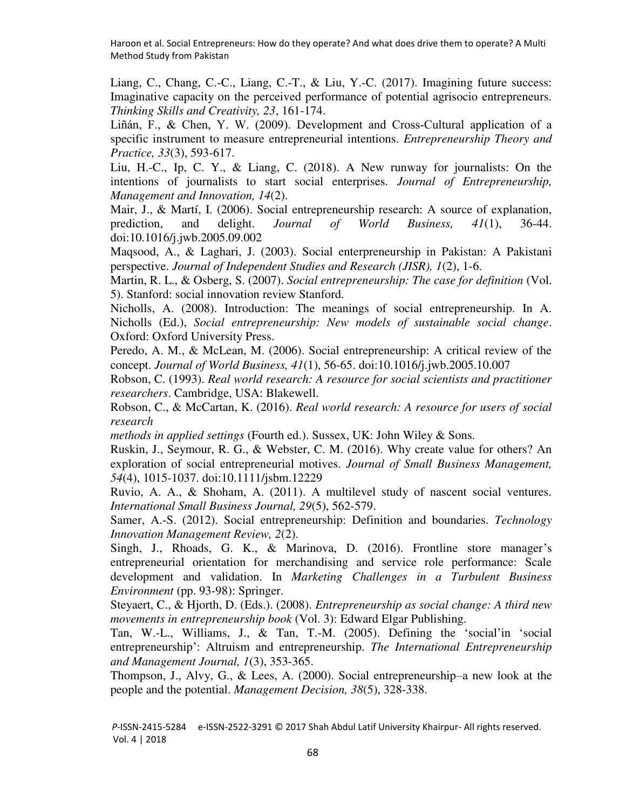<span id="page-15-2"></span>Liang, C., Chang, C.-C., Liang, C.-T., & Liu, Y.-C. (2017). Imagining future success: Imaginative capacity on the perceived performance of potential agrisocio entrepreneurs. *Thinking Skills and Creativity, 23*, 161-174.

<span id="page-15-15"></span>Liñán, F., & Chen, Y. W. (2009). Development and Cross‐Cultural application of a specific instrument to measure entrepreneurial intentions. *Entrepreneurship Theory and Practice, 33*(3), 593-617.

<span id="page-15-1"></span>Liu, H.-C., Ip, C. Y., & Liang, C. (2018). A New runway for journalists: On the intentions of journalists to start social enterprises. *Journal of Entrepreneurship, Management and Innovation, 14*(2).

<span id="page-15-9"></span>Mair, J., & Martí, I. (2006). Social entrepreneurship research: A source of explanation, prediction, and delight. *Journal of World Business, 41*(1), 36-44. doi:10.1016/j.jwb.2005.09.002

<span id="page-15-11"></span>Maqsood, A., & Laghari, J. (2003). Social enterpreneurship in Pakistan: A Pakistani perspective. *Journal of Independent Studies and Research (JISR), 1*(2), 1-6.

<span id="page-15-6"></span>Martin, R. L., & Osberg, S. (2007). *Social entrepreneurship: The case for definition* (Vol. 5). Stanford: social innovation review Stanford.

<span id="page-15-14"></span>Nicholls, A. (2008). Introduction: The meanings of social entrepreneurship. In A. Nicholls (Ed.), *Social entrepreneurship: New models of sustainable social change*. Oxford: Oxford University Press.

<span id="page-15-4"></span>Peredo, A. M., & McLean, M. (2006). Social entrepreneurship: A critical review of the concept. *Journal of World Business, 41*(1), 56-65. doi:10.1016/j.jwb.2005.10.007

<span id="page-15-12"></span>Robson, C. (1993). *Real world research: A resource for social scientists and practitioner researchers*. Cambridge, USA: Blakewell.

<span id="page-15-13"></span>Robson, C., & McCartan, K. (2016). *Real world research: A resource for users of social research* 

*methods in applied settings* (Fourth ed.). Sussex, UK: John Wiley & Sons.

<span id="page-15-8"></span>Ruskin, J., Seymour, R. G., & Webster, C. M. (2016). Why create value for others? An exploration of social entrepreneurial motives. *Journal of Small Business Management, 54*(4), 1015-1037. doi:10.1111/jsbm.12229

<span id="page-15-0"></span>Ruvio, A. A., & Shoham, A. (2011). A multilevel study of nascent social ventures. *International Small Business Journal, 29*(5), 562-579.

<span id="page-15-7"></span>Samer, A.-S. (2012). Social entrepreneurship: Definition and boundaries. *Technology Innovation Management Review, 2*(2).

<span id="page-15-16"></span>Singh, J., Rhoads, G. K., & Marinova, D. (2016). Frontline store manager's entrepreneurial orientation for merchandising and service role performance: Scale development and validation. In *Marketing Challenges in a Turbulent Business Environment* (pp. 93-98): Springer.

<span id="page-15-5"></span>Steyaert, C., & Hjorth, D. (Eds.). (2008). *Entrepreneurship as social change: A third new movements in entrepreneurship book* (Vol. 3): Edward Elgar Publishing.

<span id="page-15-3"></span>Tan, W.-L., Williams, J., & Tan, T.-M. (2005). Defining the 'social'in 'social entrepreneurship': Altruism and entrepreneurship. *The International Entrepreneurship and Management Journal, 1*(3), 353-365.

<span id="page-15-10"></span>Thompson, J., Alvy, G., & Lees, A. (2000). Social entrepreneurship–a new look at the people and the potential. *Management Decision, 38*(5), 328-338.